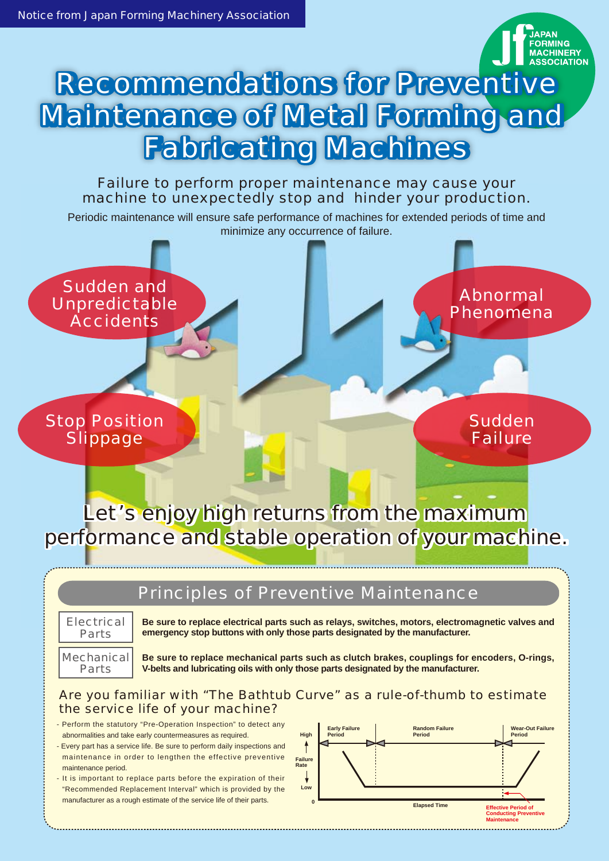

## Failure to perform proper maintenance may cause your machine to unexpectedly stop and hinder your production.

Periodic maintenance will ensure safe performance of machines for extended periods of time and minimize any occurrence of failure.

Sudden and Unpredictable **Accidents** 

Stop Position **Slippage** 

Sudden Failure

Abnormal Phenomena

Let's enjoy high returns from the maximum performance and stable operation of your machine.

# Principles of Preventive Maintenance

**Electrical** Parts

**Be sure to replace electrical parts such as relays, switches, motors, electromagnetic valves and emergency stop buttons with only those parts designated by the manufacturer.**

Mechanical Parts

**Be sure to replace mechanical parts such as clutch brakes, couplings for encoders, O-rings, V-belts and lubricating oils with only those parts designated by the manufacturer.**

#### Are you familiar with "The Bathtub Curve" as a rule-of-thumb to estimate the service life of your machine?

- Perform the statutory "Pre-Operation Inspection" to detect any abnormalities and take early countermeasures as required.
- Every part has a service life. Be sure to perform daily inspections and maintenance in order to lengthen the effective preventive maintenance period.
- It is important to replace parts before the expiration of their "Recommended Replacement Interval" which is provided by the manufacturer as a rough estimate of the service life of their parts.